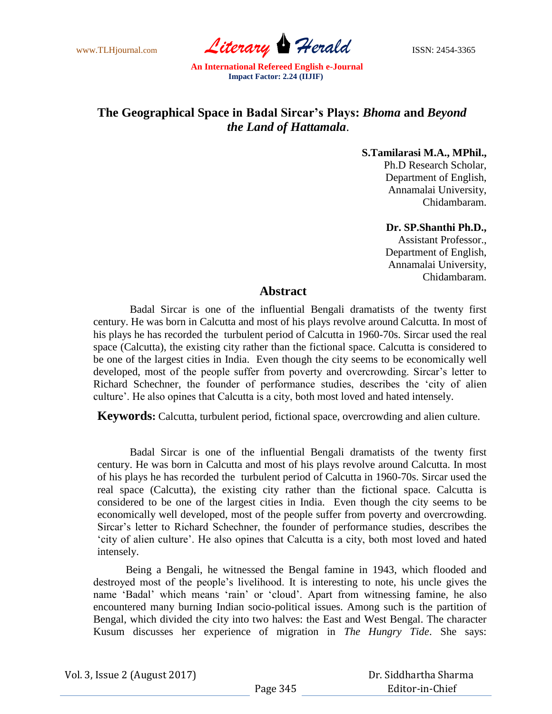www.TLHjournal.com *Literary Herald* **ISSN: 2454-3365** 

# **The Geographical Space in Badal Sircar's Plays:** *Bhoma* **and** *Beyond the Land of Hattamala*.

**S.Tamilarasi M.A., MPhil.,** Ph.D Research Scholar, Department of English, Annamalai University,

#### **Dr. SP.Shanthi Ph.D.,**

Chidambaram.

Assistant Professor., Department of English, Annamalai University, Chidambaram.

## **Abstract**

Badal Sircar is one of the influential Bengali dramatists of the twenty first century. He was born in Calcutta and most of his plays revolve around Calcutta. In most of his plays he has recorded the turbulent period of Calcutta in 1960-70s. Sircar used the real space (Calcutta), the existing city rather than the fictional space. Calcutta is considered to be one of the largest cities in India. Even though the city seems to be economically well developed, most of the people suffer from poverty and overcrowding. Sircar's letter to Richard Schechner, the founder of performance studies, describes the "city of alien culture". He also opines that Calcutta is a city, both most loved and hated intensely.

**Keywords:** Calcutta, turbulent period, fictional space, overcrowding and alien culture.

Badal Sircar is one of the influential Bengali dramatists of the twenty first century. He was born in Calcutta and most of his plays revolve around Calcutta. In most of his plays he has recorded the turbulent period of Calcutta in 1960-70s. Sircar used the real space (Calcutta), the existing city rather than the fictional space. Calcutta is considered to be one of the largest cities in India. Even though the city seems to be economically well developed, most of the people suffer from poverty and overcrowding. Sircar"s letter to Richard Schechner, the founder of performance studies, describes the "city of alien culture". He also opines that Calcutta is a city, both most loved and hated intensely.

Being a Bengali, he witnessed the Bengal famine in 1943, which flooded and destroyed most of the people"s livelihood. It is interesting to note, his uncle gives the name "Badal" which means "rain" or "cloud". Apart from witnessing famine, he also encountered many burning Indian socio-political issues. Among such is the partition of Bengal, which divided the city into two halves: the East and West Bengal. The character Kusum discusses her experience of migration in *The Hungry Tide*. She says: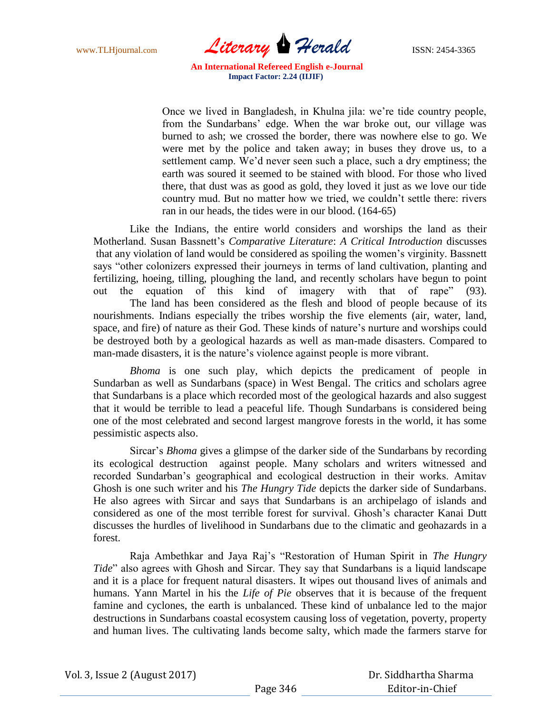www.TLHjournal.com *Literary Herald* **ISSN: 2454-3365** 

Once we lived in Bangladesh, in Khulna jila: we"re tide country people, from the Sundarbans" edge. When the war broke out, our village was burned to ash; we crossed the border, there was nowhere else to go. We were met by the police and taken away; in buses they drove us, to a settlement camp. We"d never seen such a place, such a dry emptiness; the earth was soured it seemed to be stained with blood. For those who lived there, that dust was as good as gold, they loved it just as we love our tide country mud. But no matter how we tried, we couldn"t settle there: rivers ran in our heads, the tides were in our blood. (164-65)

Like the Indians, the entire world considers and worships the land as their Motherland. Susan Bassnett"s *Comparative Literature*: *A Critical Introduction* discusses that any violation of land would be considered as spoiling the women"s virginity. Bassnett says "other colonizers expressed their journeys in terms of land cultivation, planting and fertilizing, hoeing, tilling, ploughing the land, and recently scholars have begun to point out the equation of this kind of imagery with that of rape" (93). The land has been considered as the flesh and blood of people because of its nourishments. Indians especially the tribes worship the five elements (air, water, land, space, and fire) of nature as their God. These kinds of nature's nurture and worships could be destroyed both by a geological hazards as well as man-made disasters. Compared to man-made disasters, it is the nature's violence against people is more vibrant.

*Bhoma* is one such play, which depicts the predicament of people in Sundarban as well as Sundarbans (space) in West Bengal. The critics and scholars agree that Sundarbans is a place which recorded most of the geological hazards and also suggest that it would be terrible to lead a peaceful life. Though Sundarbans is considered being one of the most celebrated and second largest mangrove forests in the world, it has some pessimistic aspects also.

Sircar"s *Bhoma* gives a glimpse of the darker side of the Sundarbans by recording its ecological destruction against people. Many scholars and writers witnessed and recorded Sundarban"s geographical and ecological destruction in their works. Amitav Ghosh is one such writer and his *The Hungry Tide* depicts the darker side of Sundarbans. He also agrees with Sircar and says that Sundarbans is an archipelago of islands and considered as one of the most terrible forest for survival. Ghosh"s character Kanai Dutt discusses the hurdles of livelihood in Sundarbans due to the climatic and geohazards in a forest.

Raja Ambethkar and Jaya Raj"s "Restoration of Human Spirit in *The Hungry Tide*" also agrees with Ghosh and Sircar. They say that Sundarbans is a liquid landscape and it is a place for frequent natural disasters. It wipes out thousand lives of animals and humans. Yann Martel in his the *Life of Pie* observes that it is because of the frequent famine and cyclones, the earth is unbalanced. These kind of unbalance led to the major destructions in Sundarbans coastal ecosystem causing loss of vegetation, poverty, property and human lives. The cultivating lands become salty, which made the farmers starve for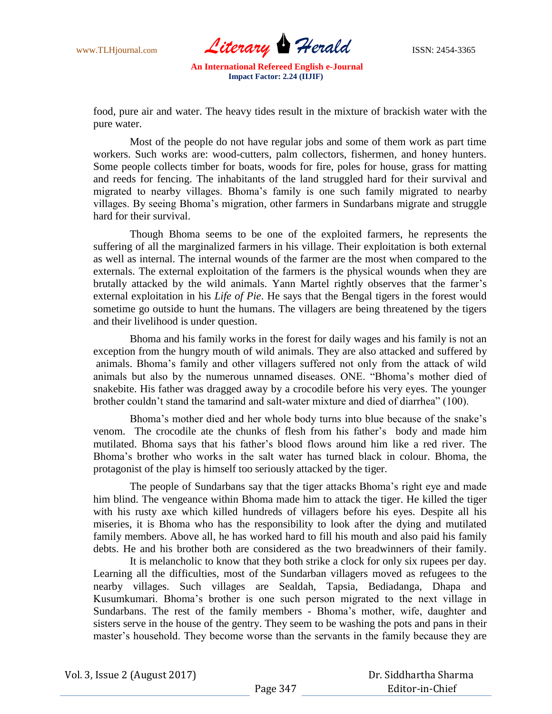www.TLHjournal.com *Literary Herald* ISSN: 2454-3365

food, pure air and water. The heavy tides result in the mixture of brackish water with the pure water.

Most of the people do not have regular jobs and some of them work as part time workers. Such works are: wood-cutters, palm collectors, fishermen, and honey hunters. Some people collects timber for boats, woods for fire, poles for house, grass for matting and reeds for fencing. The inhabitants of the land struggled hard for their survival and migrated to nearby villages. Bhoma"s family is one such family migrated to nearby villages. By seeing Bhoma"s migration, other farmers in Sundarbans migrate and struggle hard for their survival.

Though Bhoma seems to be one of the exploited farmers, he represents the suffering of all the marginalized farmers in his village. Their exploitation is both external as well as internal. The internal wounds of the farmer are the most when compared to the externals. The external exploitation of the farmers is the physical wounds when they are brutally attacked by the wild animals. Yann Martel rightly observes that the farmer's external exploitation in his *Life of Pie*. He says that the Bengal tigers in the forest would sometime go outside to hunt the humans. The villagers are being threatened by the tigers and their livelihood is under question.

Bhoma and his family works in the forest for daily wages and his family is not an exception from the hungry mouth of wild animals. They are also attacked and suffered by animals. Bhoma"s family and other villagers suffered not only from the attack of wild animals but also by the numerous unnamed diseases. ONE. "Bhoma"s mother died of snakebite. His father was dragged away by a crocodile before his very eyes. The younger brother couldn"t stand the tamarind and salt-water mixture and died of diarrhea" (100).

Bhoma's mother died and her whole body turns into blue because of the snake's venom. The crocodile ate the chunks of flesh from his father"s body and made him mutilated. Bhoma says that his father"s blood flows around him like a red river. The Bhoma"s brother who works in the salt water has turned black in colour. Bhoma, the protagonist of the play is himself too seriously attacked by the tiger.

The people of Sundarbans say that the tiger attacks Bhoma"s right eye and made him blind. The vengeance within Bhoma made him to attack the tiger. He killed the tiger with his rusty axe which killed hundreds of villagers before his eyes. Despite all his miseries, it is Bhoma who has the responsibility to look after the dying and mutilated family members. Above all, he has worked hard to fill his mouth and also paid his family debts. He and his brother both are considered as the two breadwinners of their family.

It is melancholic to know that they both strike a clock for only six rupees per day. Learning all the difficulties, most of the Sundarban villagers moved as refugees to the nearby villages. Such villages are Sealdah, Tapsia, Bediadanga, Dhapa and Kusumkumari. Bhoma"s brother is one such person migrated to the next village in Sundarbans. The rest of the family members - Bhoma"s mother, wife, daughter and sisters serve in the house of the gentry. They seem to be washing the pots and pans in their master's household. They become worse than the servants in the family because they are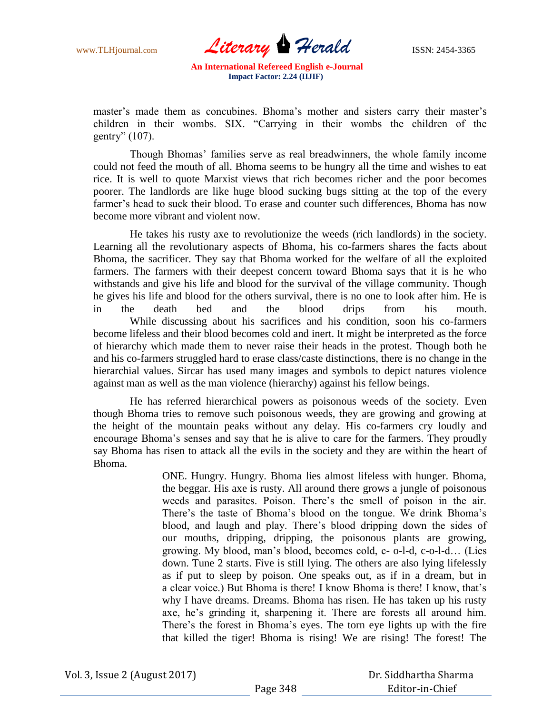www.TLHjournal.com *Literary Herald* **ISSN: 2454-3365** 

master's made them as concubines. Bhoma's mother and sisters carry their master's children in their wombs. SIX. "Carrying in their wombs the children of the gentry" (107).

Though Bhomas" families serve as real breadwinners, the whole family income could not feed the mouth of all. Bhoma seems to be hungry all the time and wishes to eat rice. It is well to quote Marxist views that rich becomes richer and the poor becomes poorer. The landlords are like huge blood sucking bugs sitting at the top of the every farmer's head to suck their blood. To erase and counter such differences, Bhoma has now become more vibrant and violent now.

He takes his rusty axe to revolutionize the weeds (rich landlords) in the society. Learning all the revolutionary aspects of Bhoma, his co-farmers shares the facts about Bhoma, the sacrificer. They say that Bhoma worked for the welfare of all the exploited farmers. The farmers with their deepest concern toward Bhoma says that it is he who withstands and give his life and blood for the survival of the village community. Though he gives his life and blood for the others survival, there is no one to look after him. He is in the death bed and the blood drips from his mouth. While discussing about his sacrifices and his condition, soon his co-farmers become lifeless and their blood becomes cold and inert. It might be interpreted as the force of hierarchy which made them to never raise their heads in the protest. Though both he and his co-farmers struggled hard to erase class/caste distinctions, there is no change in the hierarchial values. Sircar has used many images and symbols to depict natures violence against man as well as the man violence (hierarchy) against his fellow beings.

He has referred hierarchical powers as poisonous weeds of the society. Even though Bhoma tries to remove such poisonous weeds, they are growing and growing at the height of the mountain peaks without any delay. His co-farmers cry loudly and encourage Bhoma"s senses and say that he is alive to care for the farmers. They proudly say Bhoma has risen to attack all the evils in the society and they are within the heart of Bhoma.

> ONE. Hungry. Hungry. Bhoma lies almost lifeless with hunger. Bhoma, the beggar. His axe is rusty. All around there grows a jungle of poisonous weeds and parasites. Poison. There"s the smell of poison in the air. There's the taste of Bhoma's blood on the tongue. We drink Bhoma's blood, and laugh and play. There"s blood dripping down the sides of our mouths, dripping, dripping, the poisonous plants are growing, growing. My blood, man"s blood, becomes cold, c- o-l-d, c-o-l-d… (Lies down. Tune 2 starts. Five is still lying. The others are also lying lifelessly as if put to sleep by poison. One speaks out, as if in a dream, but in a clear voice.) But Bhoma is there! I know Bhoma is there! I know, that"s why I have dreams. Dreams. Bhoma has risen. He has taken up his rusty axe, he's grinding it, sharpening it. There are forests all around him. There's the forest in Bhoma's eyes. The torn eye lights up with the fire that killed the tiger! Bhoma is rising! We are rising! The forest! The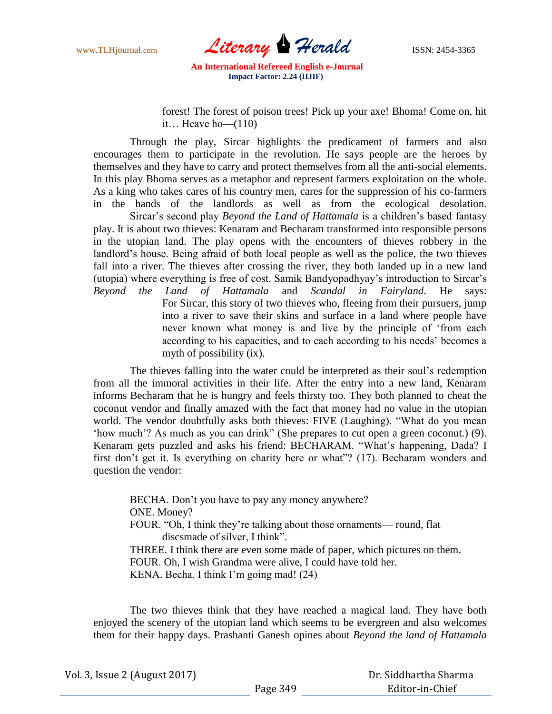www.TLHjournal.com *Literary* **Herald ISSN:** 2454-3365

forest! The forest of poison trees! Pick up your axe! Bhoma! Come on, hit it… Heave ho— $(110)$ 

Through the play, Sircar highlights the predicament of farmers and also encourages them to participate in the revolution. He says people are the heroes by themselves and they have to carry and protect themselves from all the anti-social elements. In this play Bhoma serves as a metaphor and represent farmers exploitation on the whole. As a king who takes cares of his country men, cares for the suppression of his co-farmers in the hands of the landlords as well as from the ecological desolation.

Sircar's second play *Beyond the Land of Hattamala* is a children's based fantasy play. It is about two thieves: Kenaram and Becharam transformed into responsible persons in the utopian land. The play opens with the encounters of thieves robbery in the landlord"s house. Being afraid of both local people as well as the police, the two thieves fall into a river. The thieves after crossing the river, they both landed up in a new land (utopia) where everything is free of cost. Samik Bandyopadhyay"s introduction to Sircar"s

*Beyond the Land of Hattamala* and *Scandal in Fairyland*. He says: For Sircar, this story of two thieves who, fleeing from their pursuers, jump into a river to save their skins and surface in a land where people have never known what money is and live by the principle of "from each according to his capacities, and to each according to his needs' becomes a myth of possibility (ix).

The thieves falling into the water could be interpreted as their soul"s redemption from all the immoral activities in their life. After the entry into a new land, Kenaram informs Becharam that he is hungry and feels thirsty too. They both planned to cheat the coconut vendor and finally amazed with the fact that money had no value in the utopian world. The vendor doubtfully asks both thieves: FIVE (Laughing). "What do you mean 'how much'? As much as you can drink" (She prepares to cut open a green coconut.) (9). Kenaram gets puzzled and asks his friend: BECHARAM. "What"s happening, Dada? I first don"t get it. Is everything on charity here or what"? (17). Becharam wonders and question the vendor:

BECHA. Don't you have to pay any money anywhere? ONE. Money? FOUR. "Oh, I think they"re talking about those ornaments— round, flat discsmade of silver, I think". THREE. I think there are even some made of paper, which pictures on them. FOUR. Oh, I wish Grandma were alive, I could have told her. KENA. Becha, I think I'm going mad! (24)

The two thieves think that they have reached a magical land. They have both enjoyed the scenery of the utopian land which seems to be evergreen and also welcomes them for their happy days. Prashanti Ganesh opines about *Beyond the land of Hattamala*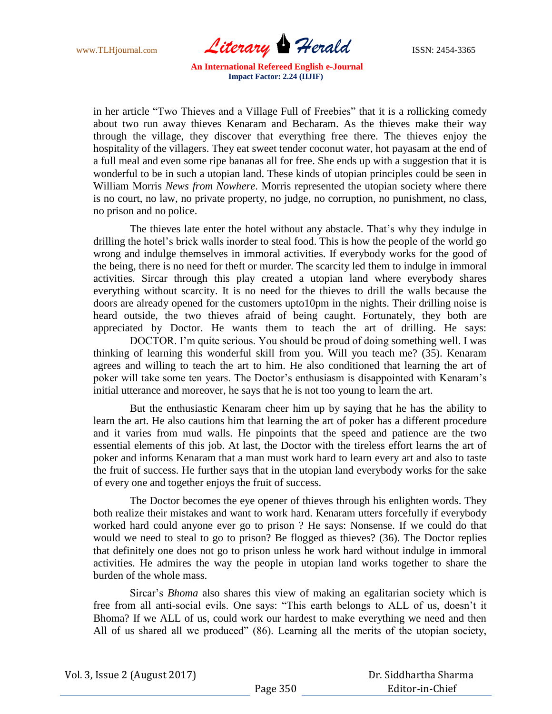www.TLHjournal.com *Literary* **Herald ISSN:** 2454-3365

in her article "Two Thieves and a Village Full of Freebies" that it is a rollicking comedy about two run away thieves Kenaram and Becharam. As the thieves make their way through the village, they discover that everything free there. The thieves enjoy the hospitality of the villagers. They eat sweet tender coconut water, hot payasam at the end of a full meal and even some ripe bananas all for free. She ends up with a suggestion that it is wonderful to be in such a utopian land. These kinds of utopian principles could be seen in William Morris *News from Nowhere*. Morris represented the utopian society where there is no court, no law, no private property, no judge, no corruption, no punishment, no class, no prison and no police.

The thieves late enter the hotel without any abstacle. That"s why they indulge in drilling the hotel"s brick walls inorder to steal food. This is how the people of the world go wrong and indulge themselves in immoral activities. If everybody works for the good of the being, there is no need for theft or murder. The scarcity led them to indulge in immoral activities. Sircar through this play created a utopian land where everybody shares everything without scarcity. It is no need for the thieves to drill the walls because the doors are already opened for the customers upto10pm in the nights. Their drilling noise is heard outside, the two thieves afraid of being caught. Fortunately, they both are appreciated by Doctor. He wants them to teach the art of drilling. He says:

DOCTOR. I"m quite serious. You should be proud of doing something well. I was thinking of learning this wonderful skill from you. Will you teach me? (35). Kenaram agrees and willing to teach the art to him. He also conditioned that learning the art of poker will take some ten years. The Doctor's enthusiasm is disappointed with Kenaram's initial utterance and moreover, he says that he is not too young to learn the art.

But the enthusiastic Kenaram cheer him up by saying that he has the ability to learn the art. He also cautions him that learning the art of poker has a different procedure and it varies from mud walls. He pinpoints that the speed and patience are the two essential elements of this job. At last, the Doctor with the tireless effort learns the art of poker and informs Kenaram that a man must work hard to learn every art and also to taste the fruit of success. He further says that in the utopian land everybody works for the sake of every one and together enjoys the fruit of success.

The Doctor becomes the eye opener of thieves through his enlighten words. They both realize their mistakes and want to work hard. Kenaram utters forcefully if everybody worked hard could anyone ever go to prison ? He says: Nonsense. If we could do that would we need to steal to go to prison? Be flogged as thieves? (36). The Doctor replies that definitely one does not go to prison unless he work hard without indulge in immoral activities. He admires the way the people in utopian land works together to share the burden of the whole mass.

Sircar"s *Bhoma* also shares this view of making an egalitarian society which is free from all anti-social evils. One says: "This earth belongs to ALL of us, doesn"t it Bhoma? If we ALL of us, could work our hardest to make everything we need and then All of us shared all we produced" (86). Learning all the merits of the utopian society,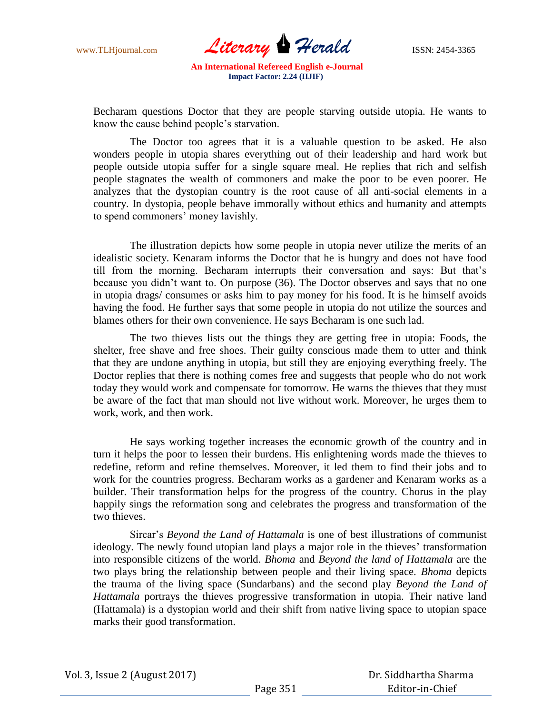www.TLHjournal.com *Literary* **Herald ISSN:** 2454-3365

Becharam questions Doctor that they are people starving outside utopia. He wants to know the cause behind people"s starvation.

The Doctor too agrees that it is a valuable question to be asked. He also wonders people in utopia shares everything out of their leadership and hard work but people outside utopia suffer for a single square meal. He replies that rich and selfish people stagnates the wealth of commoners and make the poor to be even poorer. He analyzes that the dystopian country is the root cause of all anti-social elements in a country. In dystopia, people behave immorally without ethics and humanity and attempts to spend commoners' money lavishly.

The illustration depicts how some people in utopia never utilize the merits of an idealistic society. Kenaram informs the Doctor that he is hungry and does not have food till from the morning. Becharam interrupts their conversation and says: But that"s because you didn"t want to. On purpose (36). The Doctor observes and says that no one in utopia drags/ consumes or asks him to pay money for his food. It is he himself avoids having the food. He further says that some people in utopia do not utilize the sources and blames others for their own convenience. He says Becharam is one such lad.

The two thieves lists out the things they are getting free in utopia: Foods, the shelter, free shave and free shoes. Their guilty conscious made them to utter and think that they are undone anything in utopia, but still they are enjoying everything freely. The Doctor replies that there is nothing comes free and suggests that people who do not work today they would work and compensate for tomorrow. He warns the thieves that they must be aware of the fact that man should not live without work. Moreover, he urges them to work, work, and then work.

He says working together increases the economic growth of the country and in turn it helps the poor to lessen their burdens. His enlightening words made the thieves to redefine, reform and refine themselves. Moreover, it led them to find their jobs and to work for the countries progress. Becharam works as a gardener and Kenaram works as a builder. Their transformation helps for the progress of the country. Chorus in the play happily sings the reformation song and celebrates the progress and transformation of the two thieves.

Sircar"s *Beyond the Land of Hattamala* is one of best illustrations of communist ideology. The newly found utopian land plays a major role in the thieves' transformation into responsible citizens of the world. *Bhoma* and *Beyond the land of Hattamala* are the two plays bring the relationship between people and their living space. *Bhoma* depicts the trauma of the living space (Sundarbans) and the second play *Beyond the Land of Hattamala* portrays the thieves progressive transformation in utopia. Their native land (Hattamala) is a dystopian world and their shift from native living space to utopian space marks their good transformation.